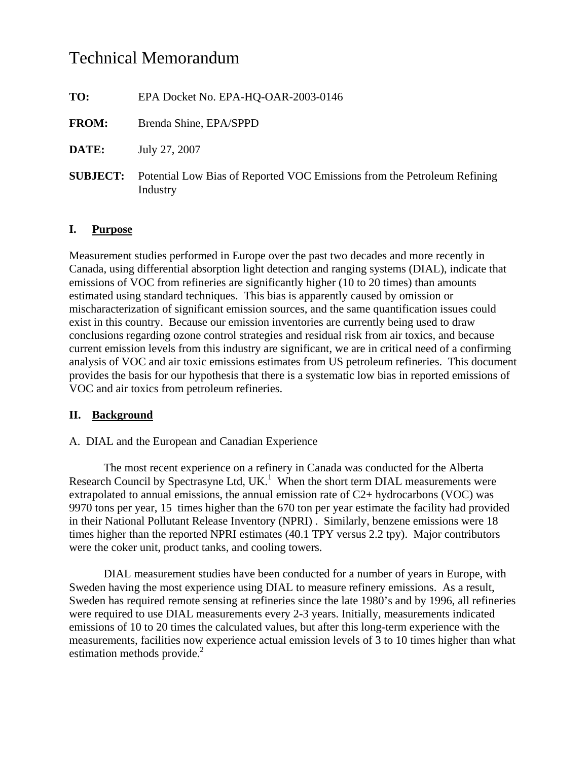# Technical Memorandum

**TO:** EPA Docket No. EPA-HQ-OAR-2003-0146

- **FROM:** Brenda Shine, EPA/SPPD
- **DATE:** July 27, 2007
- **SUBJECT:** Potential Low Bias of Reported VOC Emissions from the Petroleum Refining Industry

## **I. Purpose**

Measurement studies performed in Europe over the past two decades and more recently in Canada, using differential absorption light detection and ranging systems (DIAL), indicate that emissions of VOC from refineries are significantly higher (10 to 20 times) than amounts estimated using standard techniques. This bias is apparently caused by omission or mischaracterization of significant emission sources, and the same quantification issues could exist in this country. Because our emission inventories are currently being used to draw conclusions regarding ozone control strategies and residual risk from air toxics, and because current emission levels from this industry are significant, we are in critical need of a confirming analysis of VOC and air toxic emissions estimates from US petroleum refineries. This document provides the basis for our hypothesis that there is a systematic low bias in reported emissions of VOC and air toxics from petroleum refineries.

# **II. Background**

## A. DIAL and the European and Canadian Experience

 The most recent experience on a refinery in Canada was conducted for the Alberta Research Council by Spectrasyne Ltd, UK.<sup>1</sup> When the short term DIAL measurements were extrapolated to annual emissions, the annual emission rate of  $C2+$  hydrocarbons (VOC) was 9970 tons per year, 15 times higher than the 670 ton per year estimate the facility had provided in their National Pollutant Release Inventory (NPRI) . Similarly, benzene emissions were 18 times higher than the reported NPRI estimates (40.1 TPY versus 2.2 tpy). Major contributors were the coker unit, product tanks, and cooling towers.

 DIAL measurement studies have been conducted for a number of years in Europe, with Sweden having the most experience using DIAL to measure refinery emissions. As a result, Sweden has required remote sensing at refineries since the late 1980's and by 1996, all refineries were required to use DIAL measurements every 2-3 years. Initially, measurements indicated emissions of 10 to 20 times the calculated values, but after this long-term experience with the measurements, facilities now experience actual emission levels of 3 to 10 times higher than what estimation methods provide. $2$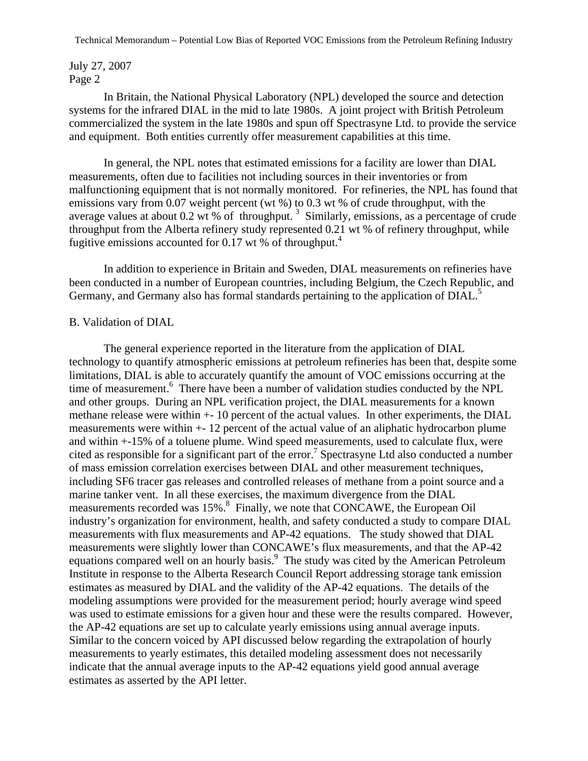## July 27, 2007 Page 2

 In Britain, the National Physical Laboratory (NPL) developed the source and detection systems for the infrared DIAL in the mid to late 1980s. A joint project with British Petroleum commercialized the system in the late 1980s and spun off Spectrasyne Ltd. to provide the service and equipment. Both entities currently offer measurement capabilities at this time.

 In general, the NPL notes that estimated emissions for a facility are lower than DIAL measurements, often due to facilities not including sources in their inventories or from malfunctioning equipment that is not normally monitored. For refineries, the NPL has found that emissions vary from 0.07 weight percent (wt %) to 0.3 wt % of crude throughput, with the average values at about 0.2 wt % of throughput.<sup>3</sup> Similarly, emissions, as a percentage of crude throughput from the Alberta refinery study represented 0.21 wt % of refinery throughput, while fugitive emissions accounted for 0.17 wt % of throughput.<sup>4</sup>

 In addition to experience in Britain and Sweden, DIAL measurements on refineries have been conducted in a number of European countries, including Belgium, the Czech Republic, and Germany, and Germany also has formal standards pertaining to the application of DIAL.<sup>5</sup>

#### B. Validation of DIAL

 The general experience reported in the literature from the application of DIAL technology to quantify atmospheric emissions at petroleum refineries has been that, despite some limitations, DIAL is able to accurately quantify the amount of VOC emissions occurring at the time of measurement.<sup>6</sup> There have been a number of validation studies conducted by the NPL and other groups. During an NPL verification project, the DIAL measurements for a known methane release were within +- 10 percent of the actual values. In other experiments, the DIAL measurements were within +- 12 percent of the actual value of an aliphatic hydrocarbon plume and within +-15% of a toluene plume. Wind speed measurements, used to calculate flux, were cited as responsible for a significant part of the error.<sup>7</sup> Spectrasyne Ltd also conducted a number of mass emission correlation exercises between DIAL and other measurement techniques, including SF6 tracer gas releases and controlled releases of methane from a point source and a marine tanker vent. In all these exercises, the maximum divergence from the DIAL measurements recorded was 15%.<sup>8</sup> Finally, we note that CONCAWE, the European Oil industry's organization for environment, health, and safety conducted a study to compare DIAL measurements with flux measurements and AP-42 equations. The study showed that DIAL measurements were slightly lower than CONCAWE's flux measurements, and that the AP-42 equations compared well on an hourly basis.<sup>9</sup> The study was cited by the American Petroleum Institute in response to the Alberta Research Council Report addressing storage tank emission estimates as measured by DIAL and the validity of the AP-42 equations. The details of the modeling assumptions were provided for the measurement period; hourly average wind speed was used to estimate emissions for a given hour and these were the results compared. However, the AP-42 equations are set up to calculate yearly emissions using annual average inputs. Similar to the concern voiced by API discussed below regarding the extrapolation of hourly measurements to yearly estimates, this detailed modeling assessment does not necessarily indicate that the annual average inputs to the AP-42 equations yield good annual average estimates as asserted by the API letter.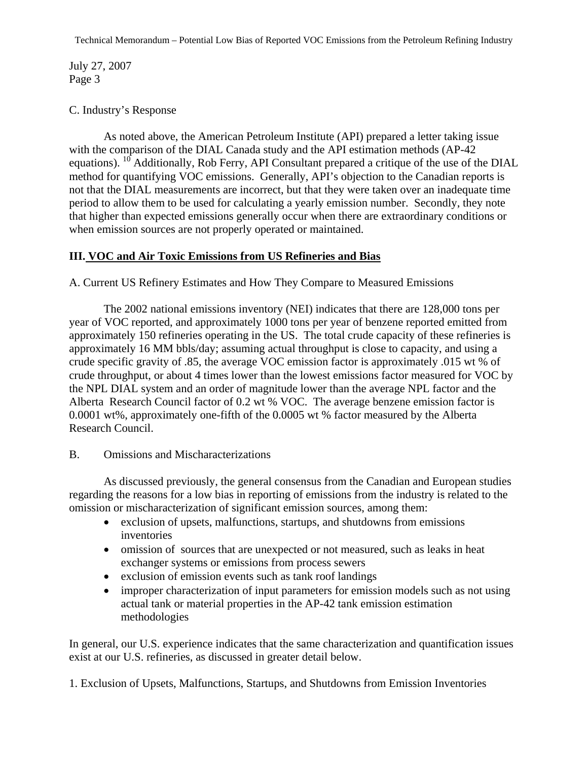July 27, 2007 Page 3

## C. Industry's Response

 As noted above, the American Petroleum Institute (API) prepared a letter taking issue with the comparison of the DIAL Canada study and the API estimation methods (AP-42 equations). <sup>10</sup> Additionally, Rob Ferry, API Consultant prepared a critique of the use of the DIAL method for quantifying VOC emissions. Generally, API's objection to the Canadian reports is not that the DIAL measurements are incorrect, but that they were taken over an inadequate time period to allow them to be used for calculating a yearly emission number. Secondly, they note that higher than expected emissions generally occur when there are extraordinary conditions or when emission sources are not properly operated or maintained.

## **III. VOC and Air Toxic Emissions from US Refineries and Bias**

A. Current US Refinery Estimates and How They Compare to Measured Emissions

 The 2002 national emissions inventory (NEI) indicates that there are 128,000 tons per year of VOC reported, and approximately 1000 tons per year of benzene reported emitted from approximately 150 refineries operating in the US. The total crude capacity of these refineries is approximately 16 MM bbls/day; assuming actual throughput is close to capacity, and using a crude specific gravity of .85, the average VOC emission factor is approximately .015 wt % of crude throughput, or about 4 times lower than the lowest emissions factor measured for VOC by the NPL DIAL system and an order of magnitude lower than the average NPL factor and the Alberta Research Council factor of 0.2 wt % VOC. The average benzene emission factor is 0.0001 wt%, approximately one-fifth of the 0.0005 wt % factor measured by the Alberta Research Council.

## B. Omissions and Mischaracterizations

 As discussed previously, the general consensus from the Canadian and European studies regarding the reasons for a low bias in reporting of emissions from the industry is related to the omission or mischaracterization of significant emission sources, among them:

- exclusion of upsets, malfunctions, startups, and shutdowns from emissions inventories
- omission of sources that are unexpected or not measured, such as leaks in heat exchanger systems or emissions from process sewers
- exclusion of emission events such as tank roof landings
- improper characterization of input parameters for emission models such as not using actual tank or material properties in the AP-42 tank emission estimation methodologies

In general, our U.S. experience indicates that the same characterization and quantification issues exist at our U.S. refineries, as discussed in greater detail below.

1. Exclusion of Upsets, Malfunctions, Startups, and Shutdowns from Emission Inventories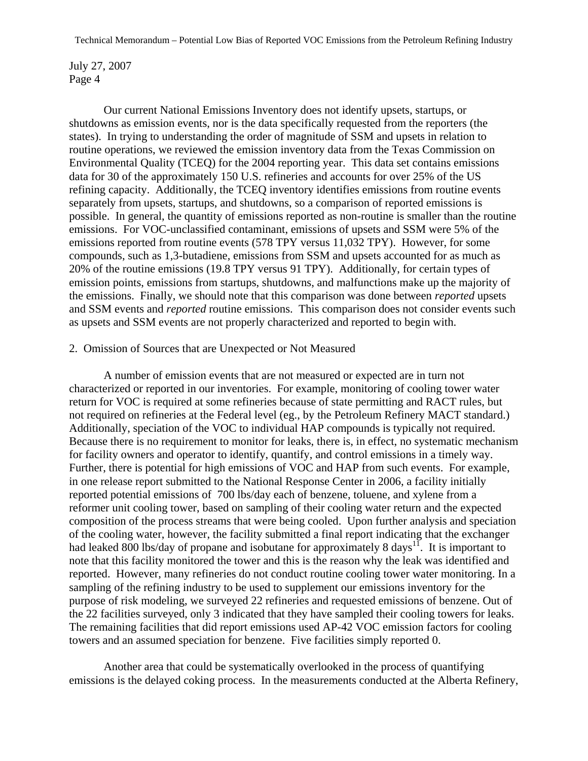July 27, 2007 Page 4

 Our current National Emissions Inventory does not identify upsets, startups, or shutdowns as emission events, nor is the data specifically requested from the reporters (the states). In trying to understanding the order of magnitude of SSM and upsets in relation to routine operations, we reviewed the emission inventory data from the Texas Commission on Environmental Quality (TCEQ) for the 2004 reporting year. This data set contains emissions data for 30 of the approximately 150 U.S. refineries and accounts for over 25% of the US refining capacity. Additionally, the TCEQ inventory identifies emissions from routine events separately from upsets, startups, and shutdowns, so a comparison of reported emissions is possible. In general, the quantity of emissions reported as non-routine is smaller than the routine emissions. For VOC-unclassified contaminant, emissions of upsets and SSM were 5% of the emissions reported from routine events (578 TPY versus 11,032 TPY). However, for some compounds, such as 1,3-butadiene, emissions from SSM and upsets accounted for as much as 20% of the routine emissions (19.8 TPY versus 91 TPY). Additionally, for certain types of emission points, emissions from startups, shutdowns, and malfunctions make up the majority of the emissions. Finally, we should note that this comparison was done between *reported* upsets and SSM events and *reported* routine emissions. This comparison does not consider events such as upsets and SSM events are not properly characterized and reported to begin with.

#### 2. Omission of Sources that are Unexpected or Not Measured

 A number of emission events that are not measured or expected are in turn not characterized or reported in our inventories. For example, monitoring of cooling tower water return for VOC is required at some refineries because of state permitting and RACT rules, but not required on refineries at the Federal level (eg., by the Petroleum Refinery MACT standard.) Additionally, speciation of the VOC to individual HAP compounds is typically not required. Because there is no requirement to monitor for leaks, there is, in effect, no systematic mechanism for facility owners and operator to identify, quantify, and control emissions in a timely way. Further, there is potential for high emissions of VOC and HAP from such events. For example, in one release report submitted to the National Response Center in 2006, a facility initially reported potential emissions of 700 lbs/day each of benzene, toluene, and xylene from a reformer unit cooling tower, based on sampling of their cooling water return and the expected composition of the process streams that were being cooled. Upon further analysis and speciation of the cooling water, however, the facility submitted a final report indicating that the exchanger had leaked 800 lbs/day of propane and isobutane for approximately 8 days<sup>11</sup>. It is important to note that this facility monitored the tower and this is the reason why the leak was identified and reported. However, many refineries do not conduct routine cooling tower water monitoring. In a sampling of the refining industry to be used to supplement our emissions inventory for the purpose of risk modeling, we surveyed 22 refineries and requested emissions of benzene. Out of the 22 facilities surveyed, only 3 indicated that they have sampled their cooling towers for leaks. The remaining facilities that did report emissions used AP-42 VOC emission factors for cooling towers and an assumed speciation for benzene. Five facilities simply reported 0.

 Another area that could be systematically overlooked in the process of quantifying emissions is the delayed coking process. In the measurements conducted at the Alberta Refinery,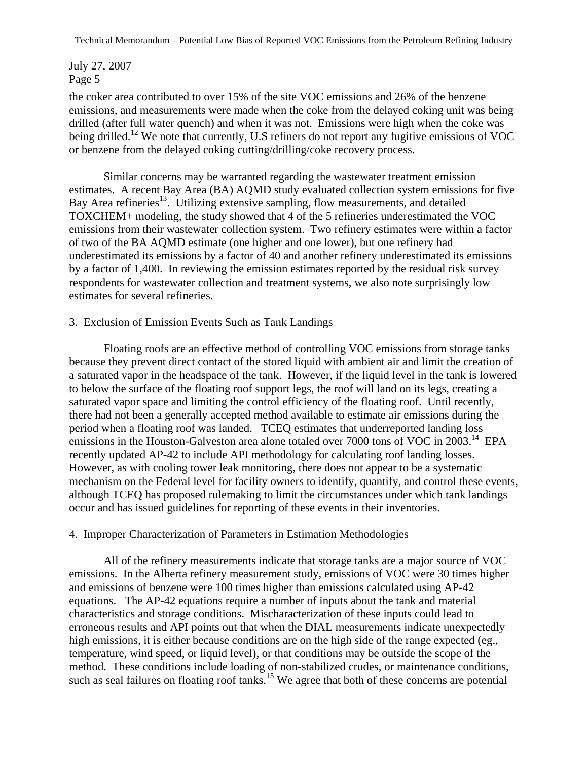July 27, 2007 Page 5

the coker area contributed to over 15% of the site VOC emissions and 26% of the benzene emissions, and measurements were made when the coke from the delayed coking unit was being drilled (after full water quench) and when it was not. Emissions were high when the coke was being drilled.<sup>12</sup> We note that currently, U.S refiners do not report any fugitive emissions of VOC or benzene from the delayed coking cutting/drilling/coke recovery process.

 Similar concerns may be warranted regarding the wastewater treatment emission estimates. A recent Bay Area (BA) AQMD study evaluated collection system emissions for five Bay Area refineries<sup>13</sup>. Utilizing extensive sampling, flow measurements, and detailed TOXCHEM+ modeling, the study showed that 4 of the 5 refineries underestimated the VOC emissions from their wastewater collection system. Two refinery estimates were within a factor of two of the BA AQMD estimate (one higher and one lower), but one refinery had underestimated its emissions by a factor of 40 and another refinery underestimated its emissions by a factor of 1,400. In reviewing the emission estimates reported by the residual risk survey respondents for wastewater collection and treatment systems, we also note surprisingly low estimates for several refineries.

#### 3. Exclusion of Emission Events Such as Tank Landings

 Floating roofs are an effective method of controlling VOC emissions from storage tanks because they prevent direct contact of the stored liquid with ambient air and limit the creation of a saturated vapor in the headspace of the tank. However, if the liquid level in the tank is lowered to below the surface of the floating roof support legs, the roof will land on its legs, creating a saturated vapor space and limiting the control efficiency of the floating roof. Until recently, there had not been a generally accepted method available to estimate air emissions during the period when a floating roof was landed. TCEQ estimates that underreported landing loss emissions in the Houston-Galveston area alone totaled over 7000 tons of VOC in 2003.<sup>14</sup> EPA recently updated AP-42 to include API methodology for calculating roof landing losses. However, as with cooling tower leak monitoring, there does not appear to be a systematic mechanism on the Federal level for facility owners to identify, quantify, and control these events, although TCEQ has proposed rulemaking to limit the circumstances under which tank landings occur and has issued guidelines for reporting of these events in their inventories.

#### 4. Improper Characterization of Parameters in Estimation Methodologies

 All of the refinery measurements indicate that storage tanks are a major source of VOC emissions. In the Alberta refinery measurement study, emissions of VOC were 30 times higher and emissions of benzene were 100 times higher than emissions calculated using AP-42 equations. The AP-42 equations require a number of inputs about the tank and material characteristics and storage conditions. Mischaracterization of these inputs could lead to erroneous results and API points out that when the DIAL measurements indicate unexpectedly high emissions, it is either because conditions are on the high side of the range expected (eg., temperature, wind speed, or liquid level), or that conditions may be outside the scope of the method. These conditions include loading of non-stabilized crudes, or maintenance conditions, such as seal failures on floating roof tanks.<sup>15</sup> We agree that both of these concerns are potential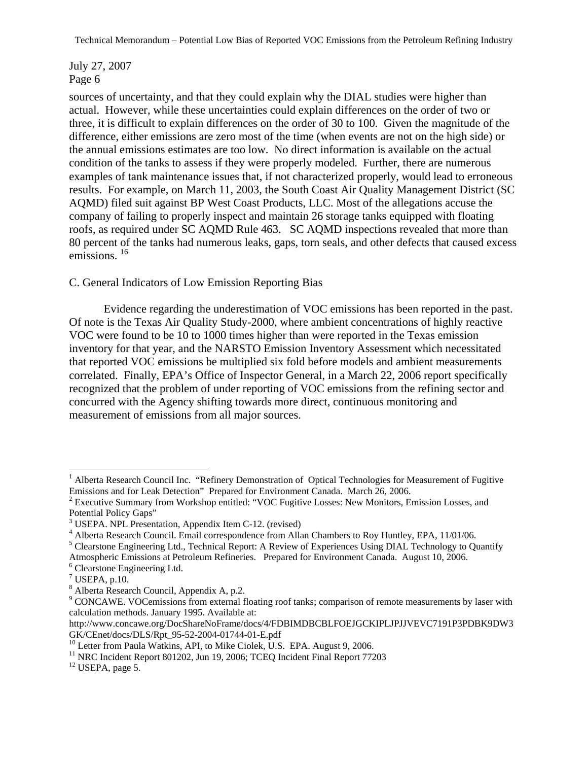July 27, 2007 Page 6

sources of uncertainty, and that they could explain why the DIAL studies were higher than actual. However, while these uncertainties could explain differences on the order of two or three, it is difficult to explain differences on the order of 30 to 100. Given the magnitude of the difference, either emissions are zero most of the time (when events are not on the high side) or the annual emissions estimates are too low. No direct information is available on the actual condition of the tanks to assess if they were properly modeled. Further, there are numerous examples of tank maintenance issues that, if not characterized properly, would lead to erroneous results. For example, on March 11, 2003, the South Coast Air Quality Management District (SC AQMD) filed suit against BP West Coast Products, LLC. Most of the allegations accuse the company of failing to properly inspect and maintain 26 storage tanks equipped with floating roofs, as required under SC AQMD Rule 463. SC AQMD inspections revealed that more than 80 percent of the tanks had numerous leaks, gaps, torn seals, and other defects that caused excess emissions.<sup>16</sup>

#### C. General Indicators of Low Emission Reporting Bias

 Evidence regarding the underestimation of VOC emissions has been reported in the past. Of note is the Texas Air Quality Study-2000, where ambient concentrations of highly reactive VOC were found to be 10 to 1000 times higher than were reported in the Texas emission inventory for that year, and the NARSTO Emission Inventory Assessment which necessitated that reported VOC emissions be multiplied six fold before models and ambient measurements correlated. Finally, EPA's Office of Inspector General, in a March 22, 2006 report specifically recognized that the problem of under reporting of VOC emissions from the refining sector and concurred with the Agency shifting towards more direct, continuous monitoring and measurement of emissions from all major sources.

 $\overline{a}$ 

 $12$  USEPA, page 5.

<sup>&</sup>lt;sup>1</sup> Alberta Research Council Inc. "Refinery Demonstration of Optical Technologies for Measurement of Fugitive Emissions and for Leak Detection" Prepared for Environment Canada. March 26, 2006.

<sup>&</sup>lt;sup>2</sup> Executive Summary from Workshop entitled: "VOC Fugitive Losses: New Monitors, Emission Losses, and Potential Policy Gaps"

<sup>3</sup> USEPA. NPL Presentation, Appendix Item C-12. (revised)

<sup>&</sup>lt;sup>4</sup> Alberta Research Council. Email correspondence from Allan Chambers to Roy Huntley, EPA, 11/01/06.

<sup>&</sup>lt;sup>5</sup> Clearstone Engineering Ltd., Technical Report: A Review of Experiences Using DIAL Technology to Quantify

Atmospheric Emissions at Petroleum Refineries. Prepared for Environment Canada. August 10, 2006. 6 Clearstone Engineering Ltd.

 $7$  USEPA, p.10.

<sup>8</sup> Alberta Research Council, Appendix A, p.2.

<sup>&</sup>lt;sup>9</sup> CONCAWE. VOCemissions from external floating roof tanks; comparison of remote measurements by laser with calculation methods. January 1995. Available at:

http://www.concawe.org/DocShareNoFrame/docs/4/FDBIMDBCBLFOEJGCKIPLJPJJVEVC7191P3PDBK9DW3 GK/CEnet/docs/DLS/Rpt\_95-52-2004-01744-01-E.pdf

<sup>&</sup>lt;sup>10</sup> Letter from Paula Watkins, API, to Mike Ciolek, U.S. EPA. August 9, 2006.

<sup>&</sup>lt;sup>11</sup> NRC Incident Report 801202, Jun 19, 2006; TCEQ Incident Final Report 77203